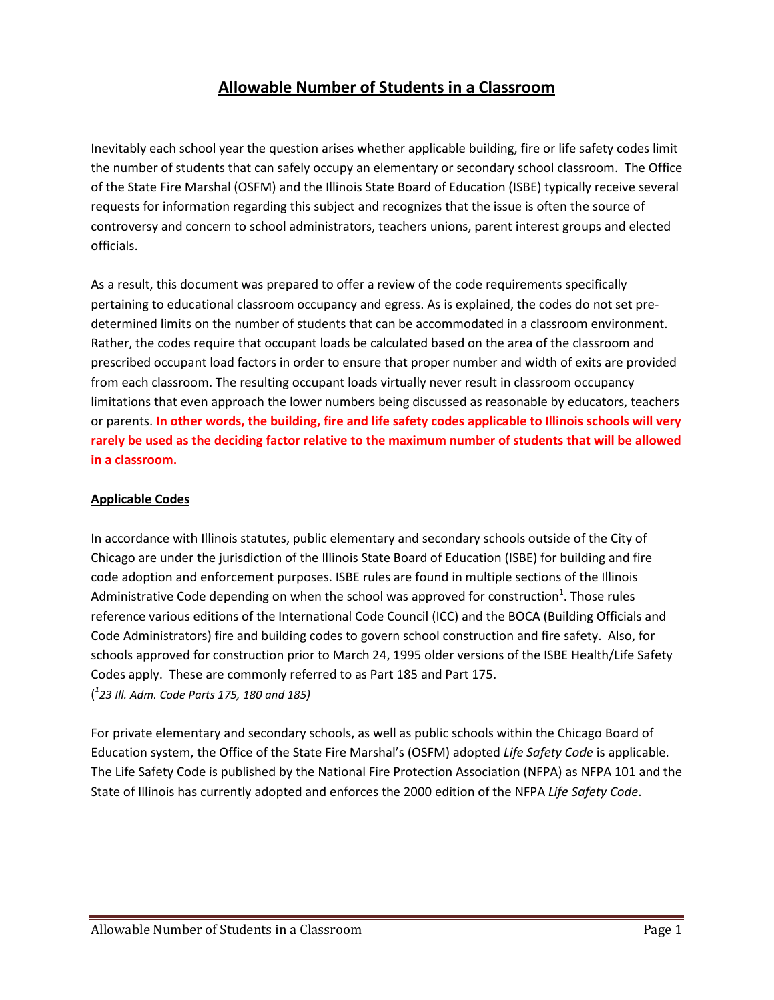# **Allowable Number of Students in a Classroom**

Inevitably each school year the question arises whether applicable building, fire or life safety codes limit the number of students that can safely occupy an elementary or secondary school classroom. The Office of the State Fire Marshal (OSFM) and the Illinois State Board of Education (ISBE) typically receive several requests for information regarding this subject and recognizes that the issue is often the source of controversy and concern to school administrators, teachers unions, parent interest groups and elected officials.

As a result, this document was prepared to offer a review of the code requirements specifically pertaining to educational classroom occupancy and egress. As is explained, the codes do not set predetermined limits on the number of students that can be accommodated in a classroom environment. Rather, the codes require that occupant loads be calculated based on the area of the classroom and prescribed occupant load factors in order to ensure that proper number and width of exits are provided from each classroom. The resulting occupant loads virtually never result in classroom occupancy limitations that even approach the lower numbers being discussed as reasonable by educators, teachers or parents. **In other words, the building, fire and life safety codes applicable to Illinois schools will very rarely be used as the deciding factor relative to the maximum number of students that will be allowed in a classroom.**

#### **Applicable Codes**

In accordance with Illinois statutes, public elementary and secondary schools outside of the City of Chicago are under the jurisdiction of the Illinois State Board of Education (ISBE) for building and fire code adoption and enforcement purposes. ISBE rules are found in multiple sections of the Illinois Administrative Code depending on when the school was approved for construction<sup>1</sup>. Those rules reference various editions of the International Code Council (ICC) and the BOCA (Building Officials and Code Administrators) fire and building codes to govern school construction and fire safety. Also, for schools approved for construction prior to March 24, 1995 older versions of the ISBE Health/Life Safety Codes apply. These are commonly referred to as Part 185 and Part 175. ( *1 23 Ill. Adm. Code Parts 175, 180 and 185)*

For private elementary and secondary schools, as well as public schools within the Chicago Board of Education system, the Office of the State Fire Marshal's (OSFM) adopted *Life Safety Code* is applicable. The Life Safety Code is published by the National Fire Protection Association (NFPA) as NFPA 101 and the State of Illinois has currently adopted and enforces the 2000 edition of the NFPA *Life Safety Code*.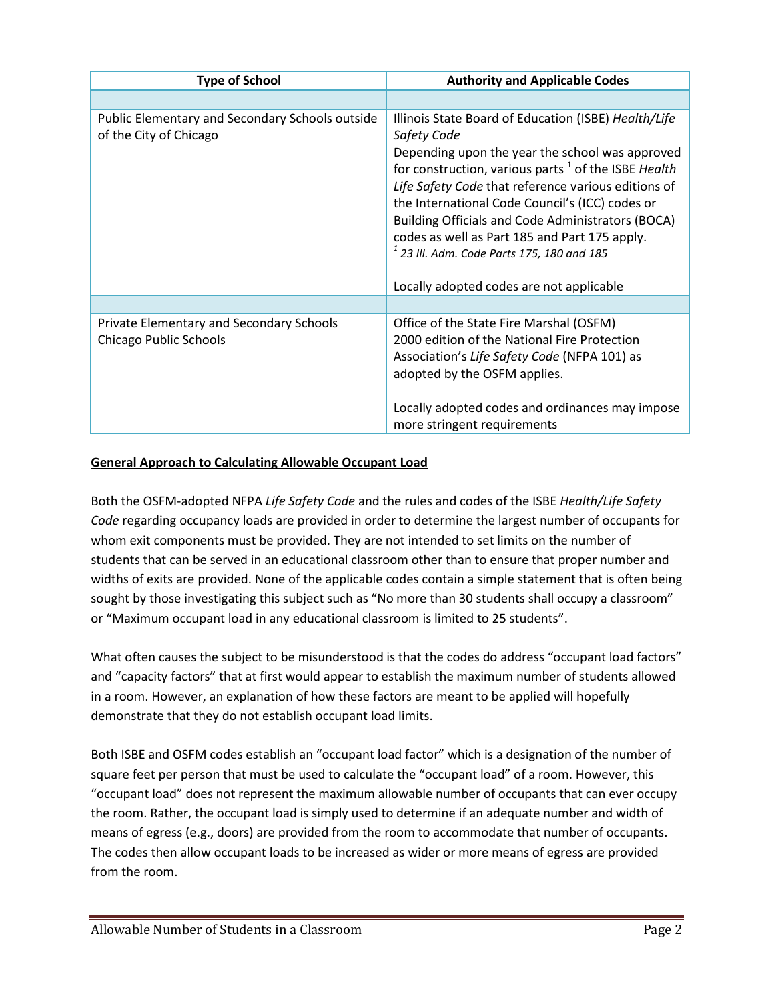| <b>Type of School</b>                                                     | <b>Authority and Applicable Codes</b>                                                                                                                                                                                                                                                                                                                                                                                                                                                               |
|---------------------------------------------------------------------------|-----------------------------------------------------------------------------------------------------------------------------------------------------------------------------------------------------------------------------------------------------------------------------------------------------------------------------------------------------------------------------------------------------------------------------------------------------------------------------------------------------|
|                                                                           |                                                                                                                                                                                                                                                                                                                                                                                                                                                                                                     |
| Public Elementary and Secondary Schools outside<br>of the City of Chicago | Illinois State Board of Education (ISBE) Health/Life<br>Safety Code<br>Depending upon the year the school was approved<br>for construction, various parts $1$ of the ISBE Health<br>Life Safety Code that reference various editions of<br>the International Code Council's (ICC) codes or<br><b>Building Officials and Code Administrators (BOCA)</b><br>codes as well as Part 185 and Part 175 apply.<br>$1$ 23 III. Adm. Code Parts 175, 180 and 185<br>Locally adopted codes are not applicable |
|                                                                           |                                                                                                                                                                                                                                                                                                                                                                                                                                                                                                     |
| Private Elementary and Secondary Schools<br>Chicago Public Schools        | Office of the State Fire Marshal (OSFM)<br>2000 edition of the National Fire Protection<br>Association's Life Safety Code (NFPA 101) as<br>adopted by the OSFM applies.<br>Locally adopted codes and ordinances may impose<br>more stringent requirements                                                                                                                                                                                                                                           |

## **General Approach to Calculating Allowable Occupant Load**

Both the OSFM-adopted NFPA *Life Safety Code* and the rules and codes of the ISBE *Health/Life Safety Code* regarding occupancy loads are provided in order to determine the largest number of occupants for whom exit components must be provided. They are not intended to set limits on the number of students that can be served in an educational classroom other than to ensure that proper number and widths of exits are provided. None of the applicable codes contain a simple statement that is often being sought by those investigating this subject such as "No more than 30 students shall occupy a classroom" or "Maximum occupant load in any educational classroom is limited to 25 students".

What often causes the subject to be misunderstood is that the codes do address "occupant load factors" and "capacity factors" that at first would appear to establish the maximum number of students allowed in a room. However, an explanation of how these factors are meant to be applied will hopefully demonstrate that they do not establish occupant load limits.

Both ISBE and OSFM codes establish an "occupant load factor" which is a designation of the number of square feet per person that must be used to calculate the "occupant load" of a room. However, this "occupant load" does not represent the maximum allowable number of occupants that can ever occupy the room. Rather, the occupant load is simply used to determine if an adequate number and width of means of egress (e.g., doors) are provided from the room to accommodate that number of occupants. The codes then allow occupant loads to be increased as wider or more means of egress are provided from the room.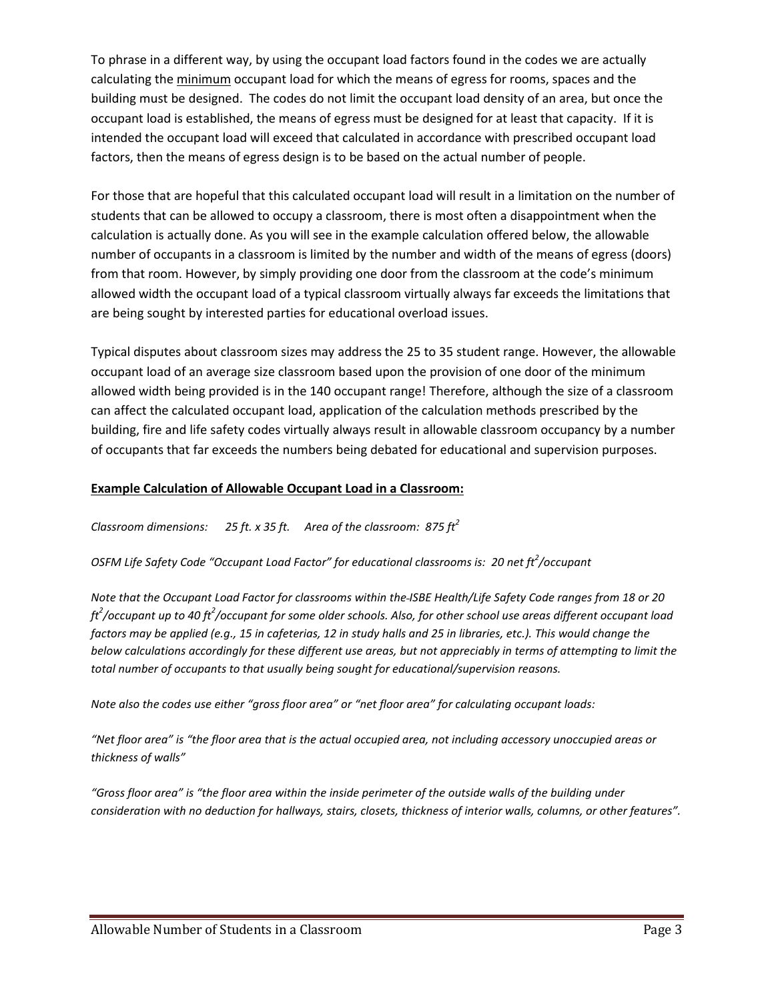To phrase in a different way, by using the occupant load factors found in the codes we are actually calculating the minimum occupant load for which the means of egress for rooms, spaces and the building must be designed. The codes do not limit the occupant load density of an area, but once the occupant load is established, the means of egress must be designed for at least that capacity. If it is intended the occupant load will exceed that calculated in accordance with prescribed occupant load factors, then the means of egress design is to be based on the actual number of people.

For those that are hopeful that this calculated occupant load will result in a limitation on the number of students that can be allowed to occupy a classroom, there is most often a disappointment when the calculation is actually done. As you will see in the example calculation offered below, the allowable number of occupants in a classroom is limited by the number and width of the means of egress (doors) from that room. However, by simply providing one door from the classroom at the code's minimum allowed width the occupant load of a typical classroom virtually always far exceeds the limitations that are being sought by interested parties for educational overload issues.

Typical disputes about classroom sizes may address the 25 to 35 student range. However, the allowable occupant load of an average size classroom based upon the provision of one door of the minimum allowed width being provided is in the 140 occupant range! Therefore, although the size of a classroom can affect the calculated occupant load, application of the calculation methods prescribed by the building, fire and life safety codes virtually always result in allowable classroom occupancy by a number of occupants that far exceeds the numbers being debated for educational and supervision purposes.

#### **Example Calculation of Allowable Occupant Load in a Classroom:**

*Classroom dimensions: 25 ft. x 35 ft. Area of the classroom: 875 ft<sup>2</sup>*

*OSFM Life Safety Code "Occupant Load Factor" for educational classrooms is: 20 net ft<sup>2</sup> /occupant*

*Note that the Occupant Load Factor for classrooms within the ISBE Health/Life Safety Code ranges from 18 or 20 ft2 /occupant up to 40 ft<sup>2</sup> /occupant for some older schools. Also, for other school use areas different occupant load factors may be applied (e.g., 15 in cafeterias, 12 in study halls and 25 in libraries, etc.). This would change the below calculations accordingly for these different use areas, but not appreciably in terms of attempting to limit the total number of occupants to that usually being sought for educational/supervision reasons.*

*Note also the codes use either "gross floor area" or "net floor area" for calculating occupant loads:*

*"Net floor area" is "the floor area that is the actual occupied area, not including accessory unoccupied areas or thickness of walls"* 

*"Gross floor area" is "the floor area within the inside perimeter of the outside walls of the building under consideration with no deduction for hallways, stairs, closets, thickness of interior walls, columns, or other features".*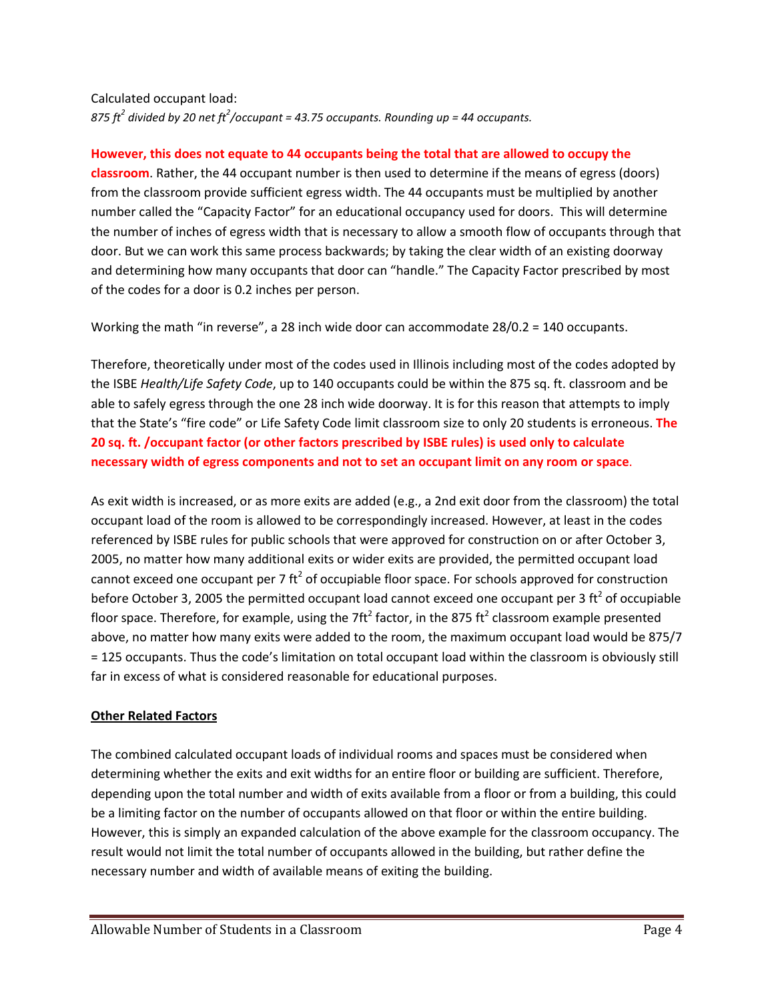Calculated occupant load: *875 ft<sup>2</sup> divided by 20 net ft<sup>2</sup> /occupant = 43.75 occupants. Rounding up = 44 occupants.*

#### **However, this does not equate to 44 occupants being the total that are allowed to occupy the**

**classroom**. Rather, the 44 occupant number is then used to determine if the means of egress (doors) from the classroom provide sufficient egress width. The 44 occupants must be multiplied by another number called the "Capacity Factor" for an educational occupancy used for doors. This will determine the number of inches of egress width that is necessary to allow a smooth flow of occupants through that door. But we can work this same process backwards; by taking the clear width of an existing doorway and determining how many occupants that door can "handle." The Capacity Factor prescribed by most of the codes for a door is 0.2 inches per person.

Working the math "in reverse", a 28 inch wide door can accommodate 28/0.2 = 140 occupants.

Therefore, theoretically under most of the codes used in Illinois including most of the codes adopted by the ISBE *Health/Life Safety Code*, up to 140 occupants could be within the 875 sq. ft. classroom and be able to safely egress through the one 28 inch wide doorway. It is for this reason that attempts to imply that the State's "fire code" or Life Safety Code limit classroom size to only 20 students is erroneous. **The 20 sq. ft. /occupant factor (or other factors prescribed by ISBE rules) is used only to calculate necessary width of egress components and not to set an occupant limit on any room or space**.

As exit width is increased, or as more exits are added (e.g., a 2nd exit door from the classroom) the total occupant load of the room is allowed to be correspondingly increased. However, at least in the codes referenced by ISBE rules for public schools that were approved for construction on or after October 3, 2005, no matter how many additional exits or wider exits are provided, the permitted occupant load cannot exceed one occupant per 7  $\text{ft}^2$  of occupiable floor space. For schools approved for construction before October 3, 2005 the permitted occupant load cannot exceed one occupant per 3 ft<sup>2</sup> of occupiable floor space. Therefore, for example, using the 7 $\text{ft}^2$  factor, in the 875  $\text{ft}^2$  classroom example presented above, no matter how many exits were added to the room, the maximum occupant load would be 875/7 = 125 occupants. Thus the code's limitation on total occupant load within the classroom is obviously still far in excess of what is considered reasonable for educational purposes.

#### **Other Related Factors**

The combined calculated occupant loads of individual rooms and spaces must be considered when determining whether the exits and exit widths for an entire floor or building are sufficient. Therefore, depending upon the total number and width of exits available from a floor or from a building, this could be a limiting factor on the number of occupants allowed on that floor or within the entire building. However, this is simply an expanded calculation of the above example for the classroom occupancy. The result would not limit the total number of occupants allowed in the building, but rather define the necessary number and width of available means of exiting the building.